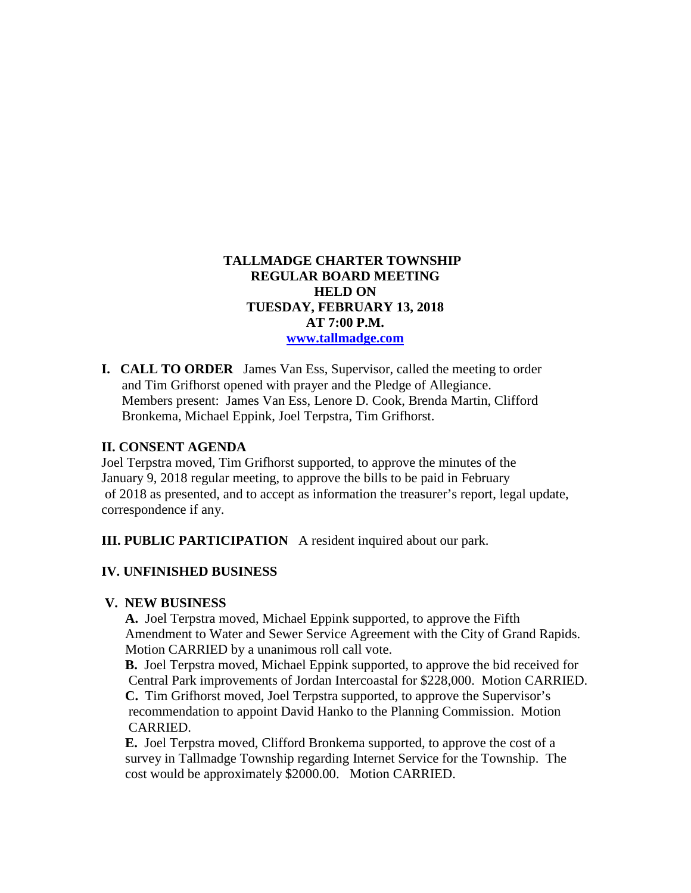# **TALLMADGE CHARTER TOWNSHIP REGULAR BOARD MEETING HELD ON TUESDAY, FEBRUARY 13, 2018 AT 7:00 P.M. [www.tallmadge.com](http://www.tallmadge.com/)**

**I. CALL TO ORDER** James Van Ess, Supervisor, called the meeting to order and Tim Grifhorst opened with prayer and the Pledge of Allegiance. Members present: James Van Ess, Lenore D. Cook, Brenda Martin, Clifford Bronkema, Michael Eppink, Joel Terpstra, Tim Grifhorst.

### **II. CONSENT AGENDA**

Joel Terpstra moved, Tim Grifhorst supported, to approve the minutes of the January 9, 2018 regular meeting, to approve the bills to be paid in February of 2018 as presented, and to accept as information the treasurer's report, legal update, correspondence if any.

**III. PUBLIC PARTICIPATION** A resident inquired about our park.

### **IV. UNFINISHED BUSINESS**

#### **V. NEW BUSINESS**

 **A.** Joel Terpstra moved, Michael Eppink supported, to approve the Fifth Amendment to Water and Sewer Service Agreement with the City of Grand Rapids. Motion CARRIED by a unanimous roll call vote.

 **B.** Joel Terpstra moved, Michael Eppink supported, to approve the bid received for Central Park improvements of Jordan Intercoastal for \$228,000. Motion CARRIED.  **C.** Tim Grifhorst moved, Joel Terpstra supported, to approve the Supervisor's recommendation to appoint David Hanko to the Planning Commission. Motion CARRIED.

 **E.** Joel Terpstra moved, Clifford Bronkema supported, to approve the cost of a survey in Tallmadge Township regarding Internet Service for the Township. The cost would be approximately \$2000.00. Motion CARRIED.